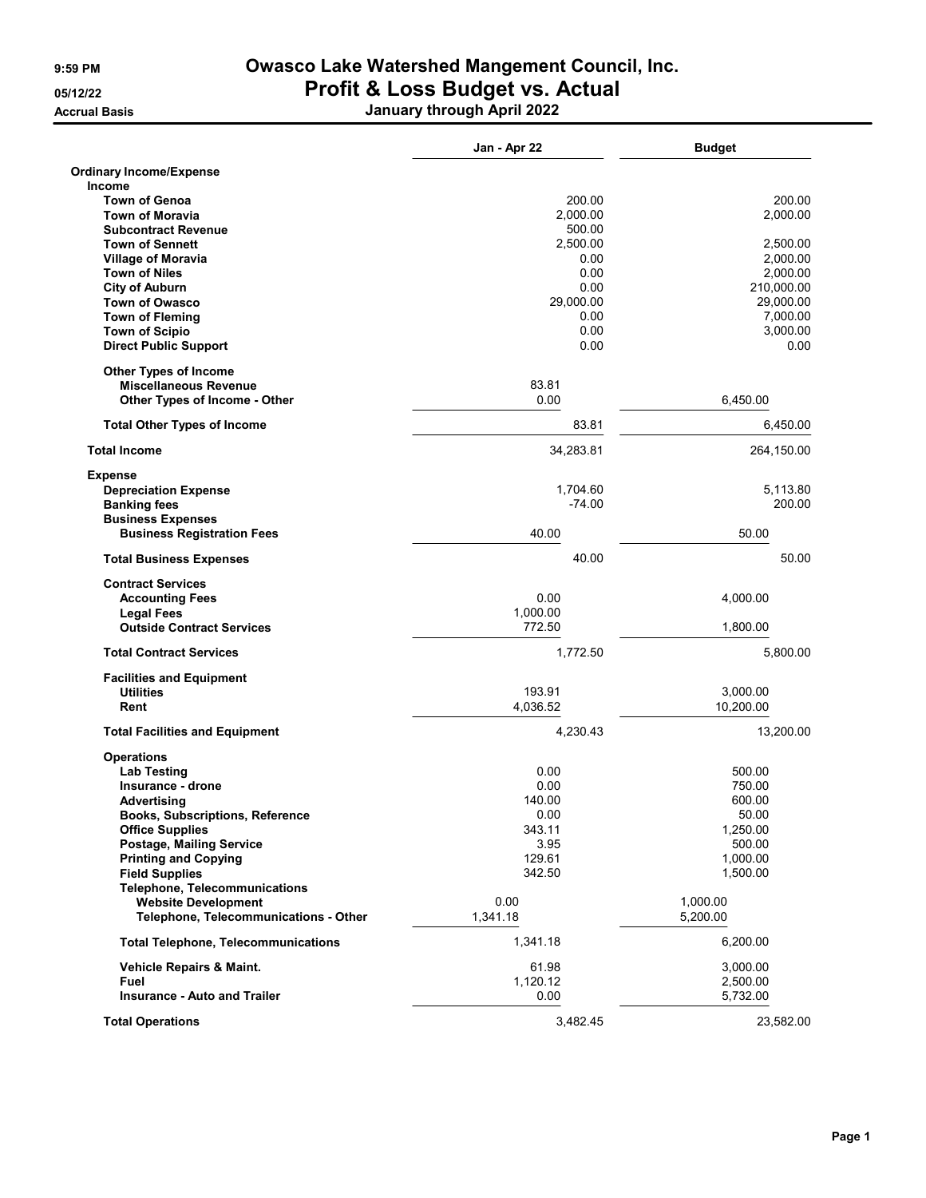Accrual Basis January through April 2022

|                                                               | Jan - Apr 22       | <b>Budget</b>      |
|---------------------------------------------------------------|--------------------|--------------------|
| <b>Ordinary Income/Expense</b>                                |                    |                    |
| <b>Income</b>                                                 |                    |                    |
| <b>Town of Genoa</b><br><b>Town of Moravia</b>                | 200.00<br>2.000.00 | 200.00<br>2,000.00 |
| <b>Subcontract Revenue</b>                                    | 500.00             |                    |
| <b>Town of Sennett</b>                                        | 2,500.00           | 2,500.00           |
| <b>Village of Moravia</b>                                     | 0.00               | 2,000.00           |
| <b>Town of Niles</b>                                          | 0.00               | 2,000.00           |
| <b>City of Auburn</b>                                         | 0.00               | 210,000.00         |
| <b>Town of Owasco</b>                                         | 29,000.00          | 29,000.00          |
| <b>Town of Fleming</b>                                        | 0.00               | 7,000.00           |
| <b>Town of Scipio</b>                                         | 0.00               | 3,000.00           |
| <b>Direct Public Support</b>                                  | 0.00               | 0.00               |
| <b>Other Types of Income</b>                                  |                    |                    |
| <b>Miscellaneous Revenue</b>                                  | 83.81              |                    |
| Other Types of Income - Other                                 | 0.00               | 6,450.00           |
| <b>Total Other Types of Income</b>                            | 83.81              | 6,450.00           |
| <b>Total Income</b>                                           | 34,283.81          | 264,150.00         |
| <b>Expense</b>                                                |                    |                    |
| <b>Depreciation Expense</b>                                   | 1,704.60           | 5,113.80           |
| <b>Banking fees</b>                                           | $-74.00$           | 200.00             |
| <b>Business Expenses</b><br><b>Business Registration Fees</b> | 40.00              | 50.00              |
| <b>Total Business Expenses</b>                                | 40.00              | 50.00              |
| <b>Contract Services</b>                                      |                    |                    |
| <b>Accounting Fees</b>                                        | 0.00               | 4,000.00           |
| <b>Legal Fees</b>                                             | 1,000.00           |                    |
| <b>Outside Contract Services</b>                              | 772.50             | 1,800.00           |
| <b>Total Contract Services</b>                                | 1,772.50           | 5,800.00           |
| <b>Facilities and Equipment</b>                               |                    |                    |
| <b>Utilities</b>                                              | 193.91             | 3,000.00           |
| Rent                                                          | 4,036.52           | 10,200.00          |
| <b>Total Facilities and Equipment</b>                         | 4.230.43           | 13,200.00          |
| <b>Operations</b>                                             |                    |                    |
| <b>Lab Testing</b>                                            | 0.00               | 500.00             |
| Insurance - drone                                             | 0.00               | 750.00             |
| Advertising                                                   | 140.00             | 600.00             |
| <b>Books, Subscriptions, Reference</b>                        | 0.00<br>343.11     | 50.00<br>1,250.00  |
| <b>Office Supplies</b><br>Postage, Mailing Service            | 3.95               | 500.00             |
| <b>Printing and Copying</b>                                   | 129.61             | 1,000.00           |
| <b>Field Supplies</b>                                         | 342.50             | 1,500.00           |
| <b>Telephone, Telecommunications</b>                          |                    |                    |
| <b>Website Development</b>                                    | 0.00               | 1,000.00           |
| Telephone, Telecommunications - Other                         | 1,341.18           | 5,200.00           |
| <b>Total Telephone, Telecommunications</b>                    | 1,341.18           | 6,200.00           |
| Vehicle Repairs & Maint.                                      | 61.98              | 3,000.00           |
| Fuel                                                          | 1,120.12           | 2,500.00           |
| <b>Insurance - Auto and Trailer</b>                           | 0.00               | 5,732.00           |
| <b>Total Operations</b>                                       | 3,482.45           | 23,582.00          |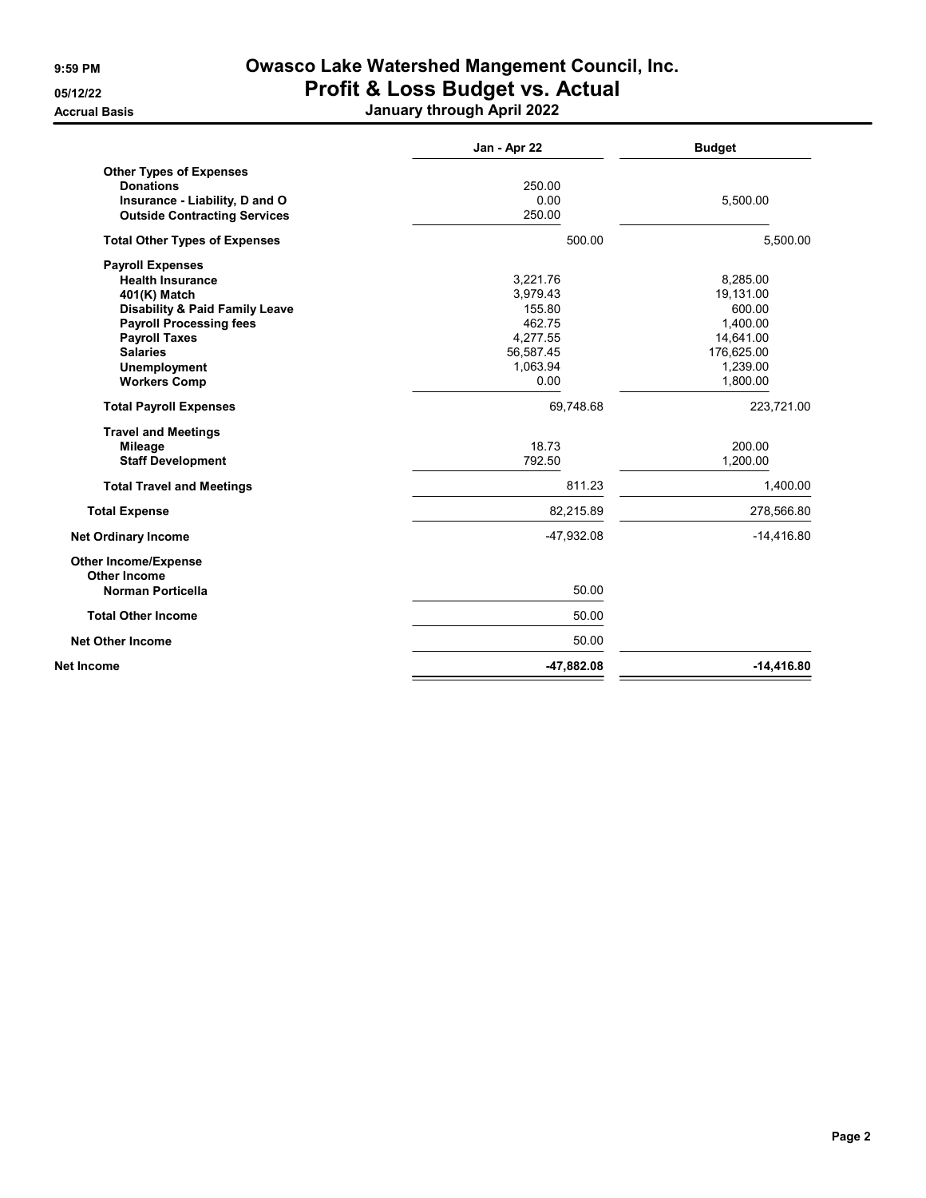Accrual Basis January through April 2022

|                                                    | Jan - Apr 22 | <b>Budget</b> |
|----------------------------------------------------|--------------|---------------|
| <b>Other Types of Expenses</b><br><b>Donations</b> | 250.00       |               |
| Insurance - Liability, D and O                     | 0.00         | 5,500.00      |
| <b>Outside Contracting Services</b>                | 250.00       |               |
| <b>Total Other Types of Expenses</b>               | 500.00       | 5,500.00      |
| <b>Payroll Expenses</b>                            |              |               |
| <b>Health Insurance</b>                            | 3,221.76     | 8.285.00      |
| 401(K) Match                                       | 3,979.43     | 19,131.00     |
| <b>Disability &amp; Paid Family Leave</b>          | 155.80       | 600.00        |
| <b>Payroll Processing fees</b>                     | 462.75       | 1,400.00      |
| <b>Payroll Taxes</b>                               | 4,277.55     | 14,641.00     |
| <b>Salaries</b>                                    | 56,587.45    | 176,625.00    |
| <b>Unemployment</b>                                | 1,063.94     | 1,239.00      |
| <b>Workers Comp</b>                                | 0.00         | 1,800.00      |
| <b>Total Payroll Expenses</b>                      | 69,748.68    | 223,721.00    |
| <b>Travel and Meetings</b>                         |              |               |
| <b>Mileage</b>                                     | 18.73        | 200.00        |
| <b>Staff Development</b>                           | 792.50       | 1.200.00      |
| <b>Total Travel and Meetings</b>                   | 811.23       | 1,400.00      |
| <b>Total Expense</b>                               | 82,215.89    | 278,566.80    |
| <b>Net Ordinary Income</b>                         | -47,932.08   | $-14,416.80$  |
| <b>Other Income/Expense</b><br><b>Other Income</b> |              |               |
| <b>Norman Porticella</b>                           | 50.00        |               |
| <b>Total Other Income</b>                          | 50.00        |               |
| <b>Net Other Income</b>                            | 50.00        |               |
| Net Income                                         | $-47,882.08$ | $-14,416.80$  |
|                                                    |              |               |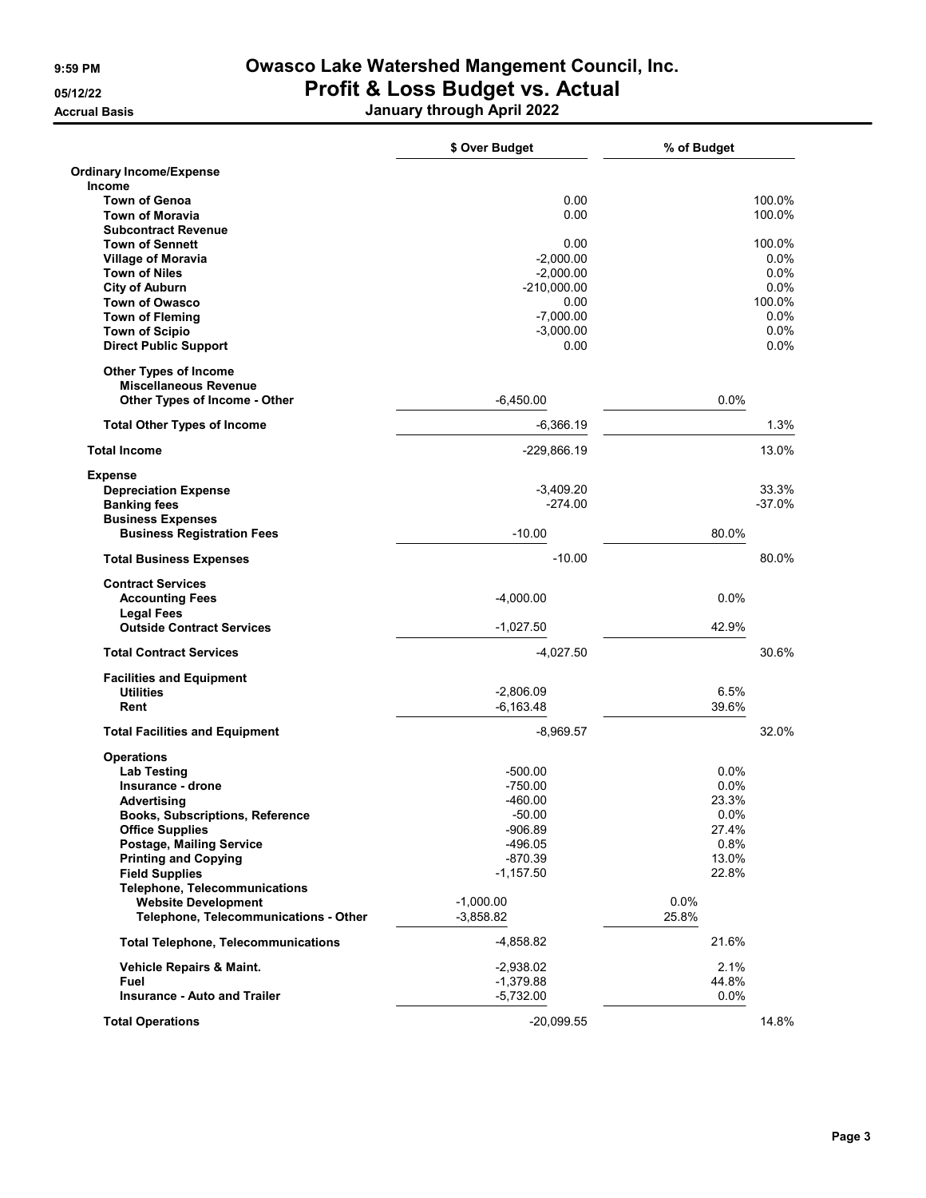Accrual Basis January through April 2022

|                                                               | \$ Over Budget             | % of Budget   |                    |
|---------------------------------------------------------------|----------------------------|---------------|--------------------|
| <b>Ordinary Income/Expense</b>                                |                            |               |                    |
| <b>Income</b><br><b>Town of Genoa</b>                         | 0.00                       |               | 100.0%             |
| <b>Town of Moravia</b>                                        | 0.00                       |               | 100.0%             |
| <b>Subcontract Revenue</b>                                    |                            |               |                    |
| <b>Town of Sennett</b>                                        | 0.00                       |               | 100.0%             |
| <b>Village of Moravia</b><br><b>Town of Niles</b>             | $-2,000.00$<br>$-2,000.00$ |               | $0.0\%$<br>$0.0\%$ |
| <b>City of Auburn</b>                                         | $-210,000.00$              |               | 0.0%               |
| <b>Town of Owasco</b>                                         | 0.00                       |               | 100.0%             |
| <b>Town of Fleming</b>                                        | $-7,000.00$                |               | 0.0%               |
| <b>Town of Scipio</b>                                         | $-3,000.00$                |               | 0.0%               |
| <b>Direct Public Support</b>                                  | 0.00                       |               | $0.0\%$            |
| <b>Other Types of Income</b>                                  |                            |               |                    |
| <b>Miscellaneous Revenue</b><br>Other Types of Income - Other | $-6,450.00$                | $0.0\%$       |                    |
|                                                               | $-6,366.19$                |               | 1.3%               |
| <b>Total Other Types of Income</b>                            |                            |               |                    |
| <b>Total Income</b>                                           | -229,866.19                |               | 13.0%              |
| <b>Expense</b>                                                |                            |               |                    |
| <b>Depreciation Expense</b><br><b>Banking fees</b>            | $-3,409.20$<br>$-274.00$   |               | 33.3%<br>$-37.0%$  |
| <b>Business Expenses</b>                                      |                            |               |                    |
| <b>Business Registration Fees</b>                             | $-10.00$                   | 80.0%         |                    |
| <b>Total Business Expenses</b>                                | $-10.00$                   |               | 80.0%              |
| <b>Contract Services</b>                                      |                            |               |                    |
| <b>Accounting Fees</b>                                        | $-4,000.00$                | 0.0%          |                    |
| <b>Legal Fees</b><br><b>Outside Contract Services</b>         | $-1,027.50$                | 42.9%         |                    |
| <b>Total Contract Services</b>                                | $-4,027.50$                |               | 30.6%              |
| <b>Facilities and Equipment</b>                               |                            |               |                    |
| <b>Utilities</b>                                              | $-2,806.09$                | 6.5%          |                    |
| Rent                                                          | $-6,163.48$                | 39.6%         |                    |
| <b>Total Facilities and Equipment</b>                         | $-8,969.57$                |               | 32.0%              |
| <b>Operations</b>                                             |                            |               |                    |
| <b>Lab Testing</b>                                            | $-500.00$                  | 0.0%          |                    |
| Insurance - drone<br>Advertising                              | $-750.00$<br>$-460.00$     | 0.0%<br>23.3% |                    |
| Books, Subscriptions, Reference                               | $-50.00$                   | 0.0%          |                    |
| <b>Office Supplies</b>                                        | $-906.89$                  | 27.4%         |                    |
| Postage, Mailing Service                                      | $-496.05$                  | 0.8%          |                    |
| <b>Printing and Copying</b>                                   | $-870.39$                  | 13.0%         |                    |
| <b>Field Supplies</b>                                         | $-1,157.50$                | 22.8%         |                    |
| <b>Telephone, Telecommunications</b>                          |                            |               |                    |
| <b>Website Development</b>                                    | $-1,000.00$                | 0.0%          |                    |
| Telephone, Telecommunications - Other                         | $-3,858.82$                | 25.8%         |                    |
| <b>Total Telephone, Telecommunications</b>                    | $-4,858.82$                | 21.6%         |                    |
| Vehicle Repairs & Maint.                                      | $-2,938.02$                | 2.1%          |                    |
| Fuel                                                          | $-1,379.88$                | 44.8%         |                    |
| <b>Insurance - Auto and Trailer</b>                           | $-5,732.00$                | 0.0%          |                    |
| <b>Total Operations</b>                                       | $-20,099.55$               |               | 14.8%              |